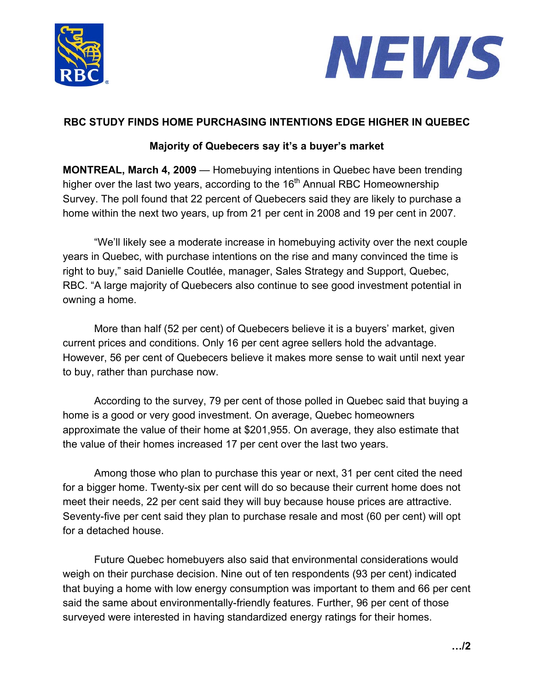



## **RBC STUDY FINDS HOME PURCHASING INTENTIONS EDGE HIGHER IN QUEBEC**

## **Majority of Quebecers say it's a buyer's market**

**MONTREAL, March 4, 2009** — Homebuying intentions in Quebec have been trending higher over the last two years, according to the  $16<sup>th</sup>$  Annual RBC Homeownership Survey. The poll found that 22 percent of Quebecers said they are likely to purchase a home within the next two years, up from 21 per cent in 2008 and 19 per cent in 2007.

"We'll likely see a moderate increase in homebuying activity over the next couple years in Quebec, with purchase intentions on the rise and many convinced the time is right to buy," said Danielle Coutlée, manager, Sales Strategy and Support, Quebec, RBC. "A large majority of Quebecers also continue to see good investment potential in owning a home.

More than half (52 per cent) of Quebecers believe it is a buyers' market, given current prices and conditions. Only 16 per cent agree sellers hold the advantage. However, 56 per cent of Quebecers believe it makes more sense to wait until next year to buy, rather than purchase now.

According to the survey, 79 per cent of those polled in Quebec said that buying a home is a good or very good investment. On average, Quebec homeowners approximate the value of their home at \$201,955. On average, they also estimate that the value of their homes increased 17 per cent over the last two years.

Among those who plan to purchase this year or next, 31 per cent cited the need for a bigger home. Twenty-six per cent will do so because their current home does not meet their needs, 22 per cent said they will buy because house prices are attractive. Seventy-five per cent said they plan to purchase resale and most (60 per cent) will opt for a detached house.

Future Quebec homebuyers also said that environmental considerations would weigh on their purchase decision. Nine out of ten respondents (93 per cent) indicated that buying a home with low energy consumption was important to them and 66 per cent said the same about environmentally-friendly features. Further, 96 per cent of those surveyed were interested in having standardized energy ratings for their homes.